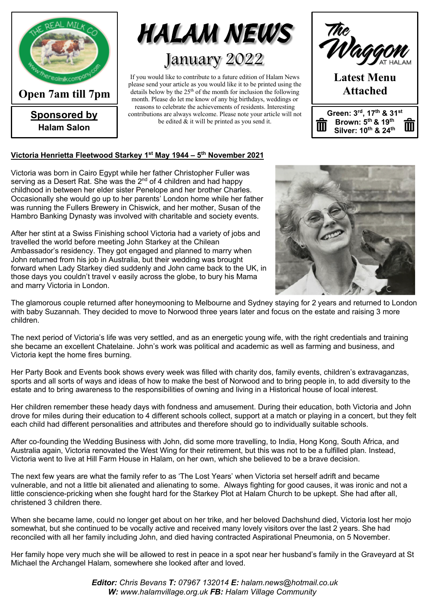

**Sponsored by Halam Salon**



If you would like to contribute to a future edition of Halam News please send your article as you would like it to be printed using the details below by the  $25<sup>th</sup>$  of the month for inclusion the following month. Please do let me know of any big birthdays, weddings or reasons to celebrate the achievements of residents. Interesting contributions are always welcome. Please note your article will not be edited & it will be printed as you send it.



#### **Victoria Henrietta Fleetwood Starkey 1st May 1944 – 5th November 2021**

Victoria was born in Cairo Egypt while her father Christopher Fuller was serving as a Desert Rat. She was the 2<sup>nd</sup> of 4 children and had happy childhood in between her elder sister Penelope and her brother Charles. Occasionally she would go up to her parents' London home while her father was running the Fullers Brewery in Chiswick, and her mother, Susan of the Hambro Banking Dynasty was involved with charitable and society events.

After her stint at a Swiss Finishing school Victoria had a variety of jobs and travelled the world before meeting John Starkey at the Chilean Ambassador's residency. They got engaged and planned to marry when John returned from his job in Australia, but their wedding was brought forward when Lady Starkey died suddenly and John came back to the UK, in those days you couldn't travel v easily across the globe, to bury his Mama and marry Victoria in London.



The glamorous couple returned after honeymooning to Melbourne and Sydney staying for 2 years and returned to London with baby Suzannah. They decided to move to Norwood three years later and focus on the estate and raising 3 more children.

The next period of Victoria's life was very settled, and as an energetic young wife, with the right credentials and training she became an excellent Chatelaine. John's work was political and academic as well as farming and business, and Victoria kept the home fires burning.

Her Party Book and Events book shows every week was filled with charity dos, family events, children's extravaganzas, sports and all sorts of ways and ideas of how to make the best of Norwood and to bring people in, to add diversity to the estate and to bring awareness to the responsibilities of owning and living in a Historical house of local interest.

Her children remember these heady days with fondness and amusement. During their education, both Victoria and John drove for miles during their education to 4 different schools collect, support at a match or playing in a concert, but they felt each child had different personalities and attributes and therefore should go to individually suitable schools.

After co-founding the Wedding Business with John, did some more travelling, to India, Hong Kong, South Africa, and Australia again, Victoria renovated the West Wing for their retirement, but this was not to be a fulfilled plan. Instead, Victoria went to live at Hill Farm House in Halam, on her own, which she believed to be a brave decision.

The next few years are what the family refer to as 'The Lost Years' when Victoria set herself adrift and became vulnerable, and not a little bit alienated and alienating to some. Always fighting for good causes, it was ironic and not a little conscience-pricking when she fought hard for the Starkey Plot at Halam Church to be upkept. She had after all, christened 3 children there.

When she became lame, could no longer get about on her trike, and her beloved Dachshund died, Victoria lost her mojo somewhat, but she continued to be vocally active and received many lovely visitors over the last 2 years. She had reconciled with all her family including John, and died having contracted Aspirational Pneumonia, on 5 November.

Her family hope very much she will be allowed to rest in peace in a spot near her husband's family in the Graveyard at St Michael the Archangel Halam, somewhere she looked after and loved.

> *Editor: Chris Bevans T: 07967 132014 E: halam.news@hotmail.co.uk W: www.halamvillage.org.uk FB: Halam Village Community*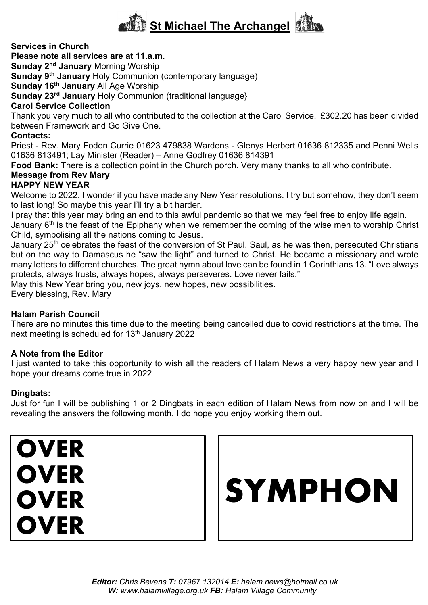# **St Michael The Archangel**

#### **Services in Church**

#### **Please note all services are at 11.a.m.**

**Sunday 2nd January** Morning Worship

**Sunday 9th January** Holy Communion (contemporary language)

**Sunday 16th January** All Age Worship

**Sunday 23rd January** Holy Communion (traditional language}

#### **Carol Service Collection**

Thank you very much to all who contributed to the collection at the Carol Service. £302.20 has been divided between Framework and Go Give One.

#### **Contacts:**

Priest - Rev. Mary Foden Currie 01623 479838 Wardens - Glenys Herbert 01636 812335 and Penni Wells 01636 813491; Lay Minister (Reader) – Anne Godfrey 01636 814391

**Food Bank:** There is a collection point in the Church porch. Very many thanks to all who contribute.

# **Message from Rev Mary**

## **HAPPY NEW YEAR**

Welcome to 2022. I wonder if you have made any New Year resolutions. I try but somehow, they don't seem to last long! So maybe this year I'll try a bit harder.

I pray that this year may bring an end to this awful pandemic so that we may feel free to enjoy life again.

January 6<sup>th</sup> is the feast of the Epiphany when we remember the coming of the wise men to worship Christ Child, symbolising all the nations coming to Jesus.

January 25<sup>th</sup> celebrates the feast of the conversion of St Paul. Saul, as he was then, persecuted Christians but on the way to Damascus he "saw the light" and turned to Christ. He became a missionary and wrote many letters to different churches. The great hymn about love can be found in 1 Corinthians 13. "Love always protects, always trusts, always hopes, always perseveres. Love never fails."

May this New Year bring you, new joys, new hopes, new possibilities.

Every blessing, Rev. Mary

#### **Halam Parish Council**

There are no minutes this time due to the meeting being cancelled due to covid restrictions at the time. The next meeting is scheduled for 13<sup>th</sup> January 2022

#### **A Note from the Editor**

I just wanted to take this opportunity to wish all the readers of Halam News a very happy new year and I hope your dreams come true in 2022

#### **Dingbats:**

Just for fun I will be publishing 1 or 2 Dingbats in each edition of Halam News from now on and I will be revealing the answers the following month. I do hope you enjoy working them out.

**OVER OVER OVER OVER**

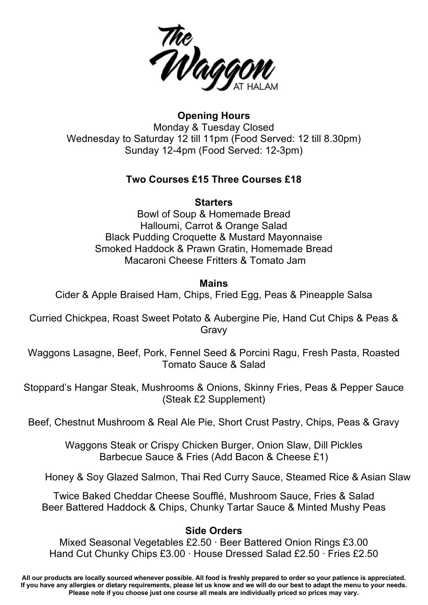

**Opening Hours** Monday & Tuesday Closed Wednesday to Saturday 12 till 11pm (Food Served: 12 till 8.30pm) Sunday 12-4pm (Food Served: 12-3pm)

## **Two Courses £15 Three Courses £18**

## **Starters**

Bowl of Soup & Homemade Bread Halloumi, Carrot & Orange Salad Black Pudding Croquette & Mustard Mayonnaise Smoked Haddock & Prawn Gratin, Homemade Bread Macaroni Cheese Fritters & Tomato Jam

## **Mains**

Cider & Apple Braised Ham, Chips, Fried Egg, Peas & Pineapple Salsa

Curried Chickpea, Roast Sweet Potato & Aubergine Pie, Hand Cut Chips & Peas & Gravy

Waggons Lasagne, Beef, Pork, Fennel Seed & Porcini Ragu, Fresh Pasta, Roasted Tomato Sauce & Salad

Stoppard's Hangar Steak, Mushrooms & Onions, Skinny Fries, Peas & Pepper Sauce (Steak £2 Supplement)

Beef, Chestnut Mushroom & Real Ale Pie, Short Crust Pastry, Chips, Peas & Gravy

Waggons Steak or Crispy Chicken Burger, Onion Slaw, Dill Pickles Barbecue Sauce & Fries (Add Bacon & Cheese £1)

Honey & Soy Glazed Salmon, Thai Red Curry Sauce, Steamed Rice & Asian Slaw

Twice Baked Cheddar Cheese Soufflé, Mushroom Sauce, Fries & Salad Beer Battered Haddock & Chips, Chunky Tartar Sauce & Minted Mushy Peas

# **Side Orders**

Mixed Seasonal Vegetables £2.50 ∙ Beer Battered Onion Rings £3.00 Hand Cut Chunky Chips £3.00 ∙ House Dressed Salad £2.50 ∙ Fries £2.50